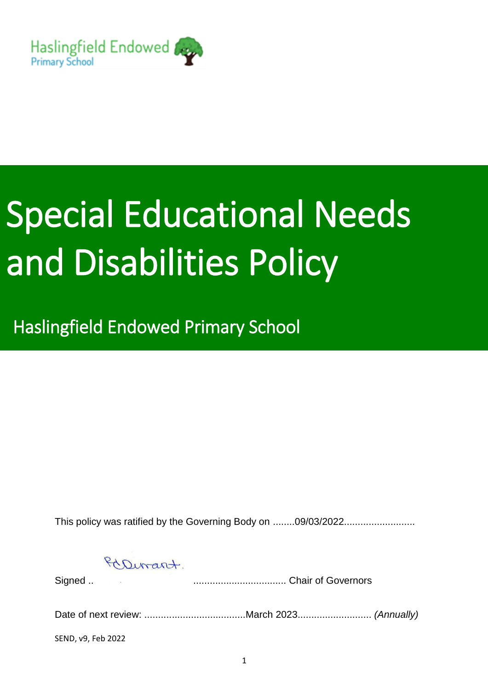

# Special Educational Needs and Disabilities Policy

Haslingfield Endowed Primary School

This policy was ratified by the Governing Body on ........09/03/2022..........................

PaDirant.

Signed .. .................................. Chair of Governors

Date of next review: .....................................March 2023........................... *(Annually)*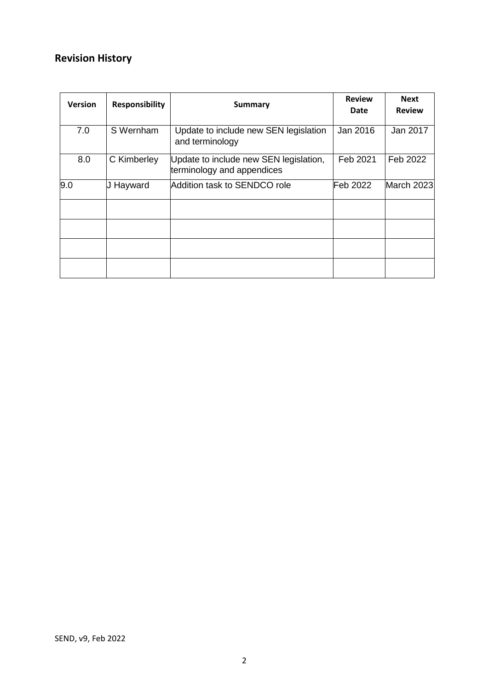# **Revision History**

| <b>Version</b> | <b>Responsibility</b> | <b>Summary</b>                                                       | <b>Review</b><br>Date | <b>Next</b><br><b>Review</b> |
|----------------|-----------------------|----------------------------------------------------------------------|-----------------------|------------------------------|
| 7.0            | S Wernham             | Update to include new SEN legislation<br>and terminology             | Jan 2016              | Jan 2017                     |
| 8.0            | C Kimberley           | Update to include new SEN legislation,<br>terminology and appendices | Feb 2021              | Feb 2022                     |
| 9.0            | <b>J Hayward</b>      | Addition task to SENDCO role                                         | Feb 2022              | March 2023                   |
|                |                       |                                                                      |                       |                              |
|                |                       |                                                                      |                       |                              |
|                |                       |                                                                      |                       |                              |
|                |                       |                                                                      |                       |                              |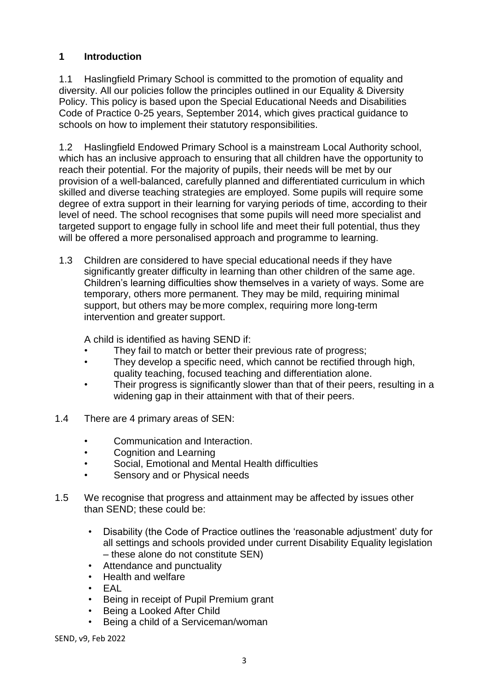# **1 Introduction**

1.1 Haslingfield Primary School is committed to the promotion of equality and diversity. All our policies follow the principles outlined in our Equality & Diversity Policy. This policy is based upon the Special Educational Needs and Disabilities Code of Practice 0-25 years, September 2014, which gives practical guidance to schools on how to implement their statutory responsibilities.

1.2 Haslingfield Endowed Primary School is a mainstream Local Authority school, which has an inclusive approach to ensuring that all children have the opportunity to reach their potential. For the majority of pupils, their needs will be met by our provision of a well-balanced, carefully planned and differentiated curriculum in which skilled and diverse teaching strategies are employed. Some pupils will require some degree of extra support in their learning for varying periods of time, according to their level of need. The school recognises that some pupils will need more specialist and targeted support to engage fully in school life and meet their full potential, thus they will be offered a more personalised approach and programme to learning.

1.3 Children are considered to have special educational needs if they have significantly greater difficulty in learning than other children of the same age. Children's learning difficulties show themselves in a variety of ways. Some are temporary, others more permanent. They may be mild, requiring minimal support, but others may be more complex, requiring more long-term intervention and greater support.

A child is identified as having SEND if:

- They fail to match or better their previous rate of progress;
- They develop a specific need, which cannot be rectified through high, quality teaching, focused teaching and differentiation alone.
- Their progress is significantly slower than that of their peers, resulting in a widening gap in their attainment with that of their peers.
- 1.4 There are 4 primary areas of SEN:
	- Communication and Interaction.
	- Cognition and Learning
	- Social, Emotional and Mental Health difficulties
	- Sensory and or Physical needs
- 1.5 We recognise that progress and attainment may be affected by issues other than SEND; these could be:
	- Disability (the Code of Practice outlines the 'reasonable adjustment' duty for all settings and schools provided under current Disability Equality legislation – these alone do not constitute SEN)
	- Attendance and punctuality
	- Health and welfare
	- EAL
	- Being in receipt of Pupil Premium grant
	- Being a Looked After Child
	- Being a child of a Serviceman/woman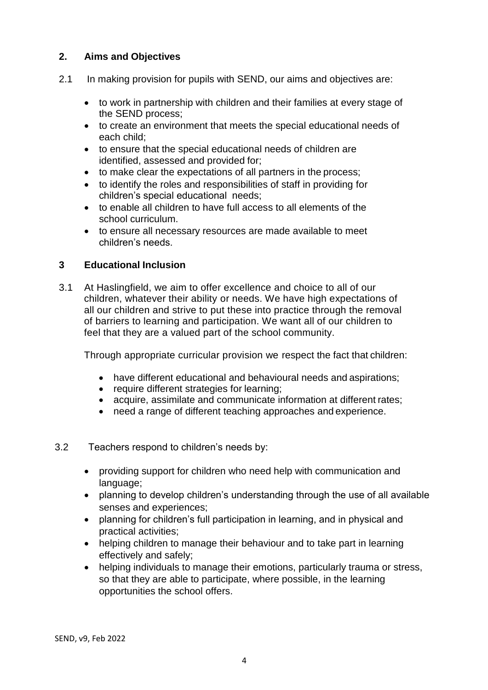# **2. Aims and Objectives**

- 2.1 In making provision for pupils with SEND, our aims and objectives are:
	- to work in partnership with children and their families at every stage of the SEND process;
	- to create an environment that meets the special educational needs of each child;
	- to ensure that the special educational needs of children are identified, assessed and provided for;
	- to make clear the expectations of all partners in the process;
	- to identify the roles and responsibilities of staff in providing for children's special educational needs;
	- to enable all children to have full access to all elements of the school curriculum.
	- to ensure all necessary resources are made available to meet children's needs.

# **3 Educational Inclusion**

3.1 At Haslingfield, we aim to offer excellence and choice to all of our children, whatever their ability or needs. We have high expectations of all our children and strive to put these into practice through the removal of barriers to learning and participation. We want all of our children to feel that they are a valued part of the school community.

Through appropriate curricular provision we respect the fact that children:

- have different educational and behavioural needs and aspirations;
- require different strategies for learning;
- acquire, assimilate and communicate information at different rates;
- need a range of different teaching approaches and experience.
- 3.2 Teachers respond to children's needs by:
	- providing support for children who need help with communication and language;
	- planning to develop children's understanding through the use of all available senses and experiences;
	- planning for children's full participation in learning, and in physical and practical activities;
	- helping children to manage their behaviour and to take part in learning effectively and safely;
	- helping individuals to manage their emotions, particularly trauma or stress, so that they are able to participate, where possible, in the learning opportunities the school offers.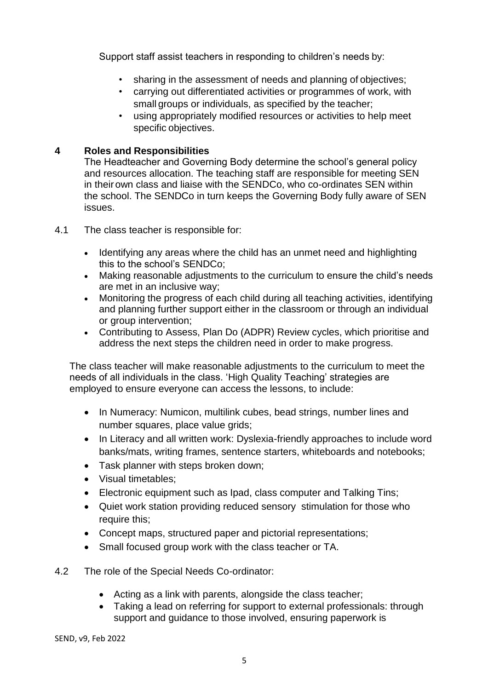Support staff assist teachers in responding to children's needs by:

- sharing in the assessment of needs and planning of objectives;
- carrying out differentiated activities or programmes of work, with small groups or individuals, as specified by the teacher;
- using appropriately modified resources or activities to help meet specific objectives.

# **4 Roles and Responsibilities**

The Headteacher and Governing Body determine the school's general policy and resources allocation. The teaching staff are responsible for meeting SEN in theirown class and liaise with the SENDCo, who co-ordinates SEN within the school. The SENDCo in turn keeps the Governing Body fully aware of SEN issues.

- 4.1 The class teacher is responsible for:
	- Identifying any areas where the child has an unmet need and highlighting this to the school's SENDCo;
	- Making reasonable adjustments to the curriculum to ensure the child's needs are met in an inclusive way;
	- Monitoring the progress of each child during all teaching activities, identifying and planning further support either in the classroom or through an individual or group intervention;
	- Contributing to Assess, Plan Do (ADPR) Review cycles, which prioritise and address the next steps the children need in order to make progress.

The class teacher will make reasonable adjustments to the curriculum to meet the needs of all individuals in the class. 'High Quality Teaching' strategies are employed to ensure everyone can access the lessons, to include:

- In Numeracy: Numicon, multilink cubes, bead strings, number lines and number squares, place value grids;
- In Literacy and all written work: Dyslexia-friendly approaches to include word banks/mats, writing frames, sentence starters, whiteboards and notebooks;
- Task planner with steps broken down;
- Visual timetables:
- Electronic equipment such as Ipad, class computer and Talking Tins;
- Quiet work station providing reduced sensory stimulation for those who require this;
- Concept maps, structured paper and pictorial representations;
- Small focused group work with the class teacher or TA.
- 4.2 The role of the Special Needs Co-ordinator:
	- Acting as a link with parents, alongside the class teacher;
	- Taking a lead on referring for support to external professionals: through support and guidance to those involved, ensuring paperwork is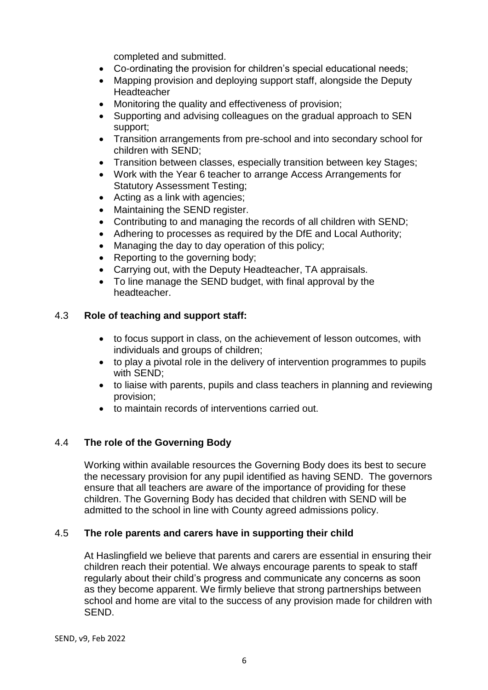completed and submitted.

- Co-ordinating the provision for children's special educational needs;
- Mapping provision and deploying support staff, alongside the Deputy **Headteacher**
- Monitoring the quality and effectiveness of provision;
- Supporting and advising colleagues on the gradual approach to SEN support;
- Transition arrangements from pre-school and into secondary school for children with SEND;
- Transition between classes, especially transition between key Stages;
- Work with the Year 6 teacher to arrange Access Arrangements for Statutory Assessment Testing;
- Acting as a link with agencies;
- Maintaining the SEND register.
- Contributing to and managing the records of all children with SEND;
- Adhering to processes as required by the DfE and Local Authority;
- Managing the day to day operation of this policy;
- Reporting to the governing body;
- Carrying out, with the Deputy Headteacher, TA appraisals.
- To line manage the SEND budget, with final approval by the headteacher.

# 4.3 **Role of teaching and support staff:**

- to focus support in class, on the achievement of lesson outcomes, with individuals and groups of children;
- to play a pivotal role in the delivery of intervention programmes to pupils with SEND;
- to liaise with parents, pupils and class teachers in planning and reviewing provision;
- to maintain records of interventions carried out.

# 4.4 **The role of the Governing Body**

Working within available resources the Governing Body does its best to secure the necessary provision for any pupil identified as having SEND. The governors ensure that all teachers are aware of the importance of providing for these children. The Governing Body has decided that children with SEND will be admitted to the school in line with County agreed admissions policy.

# 4.5 **The role parents and carers have in supporting their child**

At Haslingfield we believe that parents and carers are essential in ensuring their children reach their potential. We always encourage parents to speak to staff regularly about their child's progress and communicate any concerns as soon as they become apparent. We firmly believe that strong partnerships between school and home are vital to the success of any provision made for children with SEND.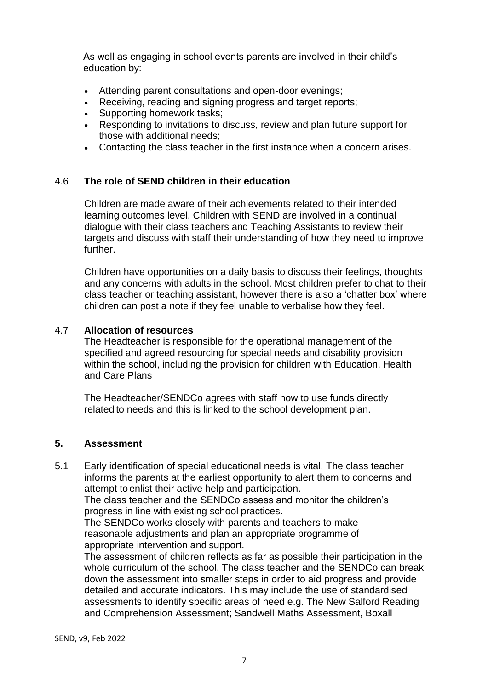As well as engaging in school events parents are involved in their child's education by:

- Attending parent consultations and open-door evenings;
- Receiving, reading and signing progress and target reports;
- Supporting homework tasks;
- Responding to invitations to discuss, review and plan future support for those with additional needs;
- Contacting the class teacher in the first instance when a concern arises.

#### 4.6 **The role of SEND children in their education**

Children are made aware of their achievements related to their intended learning outcomes level. Children with SEND are involved in a continual dialogue with their class teachers and Teaching Assistants to review their targets and discuss with staff their understanding of how they need to improve further.

Children have opportunities on a daily basis to discuss their feelings, thoughts and any concerns with adults in the school. Most children prefer to chat to their class teacher or teaching assistant, however there is also a 'chatter box' where children can post a note if they feel unable to verbalise how they feel.

#### 4.7 **Allocation of resources**

The Headteacher is responsible for the operational management of the specified and agreed resourcing for special needs and disability provision within the school, including the provision for children with Education, Health and Care Plans

The Headteacher/SENDCo agrees with staff how to use funds directly related to needs and this is linked to the school development plan.

#### **5. Assessment**

5.1 Early identification of special educational needs is vital. The class teacher informs the parents at the earliest opportunity to alert them to concerns and attempt toenlist their active help and participation.

The class teacher and the SENDCo assess and monitor the children's progress in line with existing school practices.

The SENDCo works closely with parents and teachers to make reasonable adjustments and plan an appropriate programme of appropriate intervention and support.

The assessment of children reflects as far as possible their participation in the whole curriculum of the school. The class teacher and the SENDCo can break down the assessment into smaller steps in order to aid progress and provide detailed and accurate indicators. This may include the use of standardised assessments to identify specific areas of need e.g. The New Salford Reading and Comprehension Assessment; Sandwell Maths Assessment, Boxall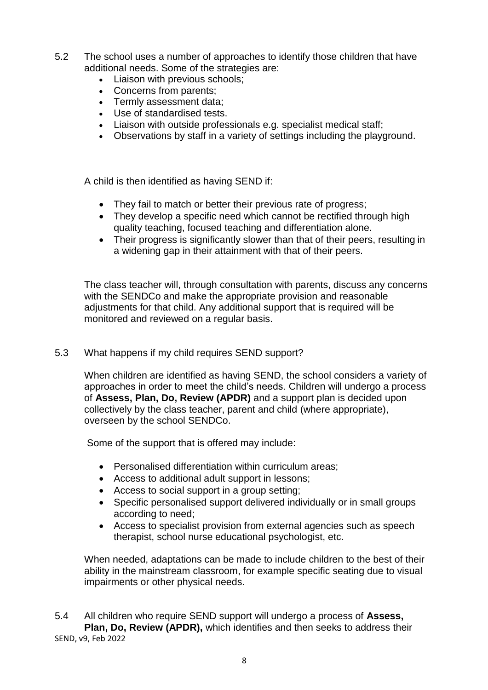- 5.2 The school uses a number of approaches to identify those children that have additional needs. Some of the strategies are:
	- Liaison with previous schools;
	- Concerns from parents;
	- Termly assessment data;
	- Use of standardised tests.
	- Liaison with outside professionals e.g. specialist medical staff;
	- Observations by staff in a variety of settings including the playground.

A child is then identified as having SEND if:

- They fail to match or better their previous rate of progress;
- They develop a specific need which cannot be rectified through high quality teaching, focused teaching and differentiation alone.
- Their progress is significantly slower than that of their peers, resulting in a widening gap in their attainment with that of their peers.

The class teacher will, through consultation with parents, discuss any concerns with the SENDCo and make the appropriate provision and reasonable adjustments for that child. Any additional support that is required will be monitored and reviewed on a regular basis.

# 5.3 What happens if my child requires SEND support?

When children are identified as having SEND, the school considers a variety of approaches in order to meet the child's needs. Children will undergo a process of **Assess, Plan, Do, Review (APDR)** and a support plan is decided upon collectively by the class teacher, parent and child (where appropriate), overseen by the school SENDCo.

Some of the support that is offered may include:

- Personalised differentiation within curriculum areas;
- Access to additional adult support in lessons;
- Access to social support in a group setting;
- Specific personalised support delivered individually or in small groups according to need;
- Access to specialist provision from external agencies such as speech therapist, school nurse educational psychologist, etc.

When needed, adaptations can be made to include children to the best of their ability in the mainstream classroom, for example specific seating due to visual impairments or other physical needs.

SEND, v9, Feb 2022 5.4 All children who require SEND support will undergo a process of **Assess, Plan, Do, Review (APDR),** which identifies and then seeks to address their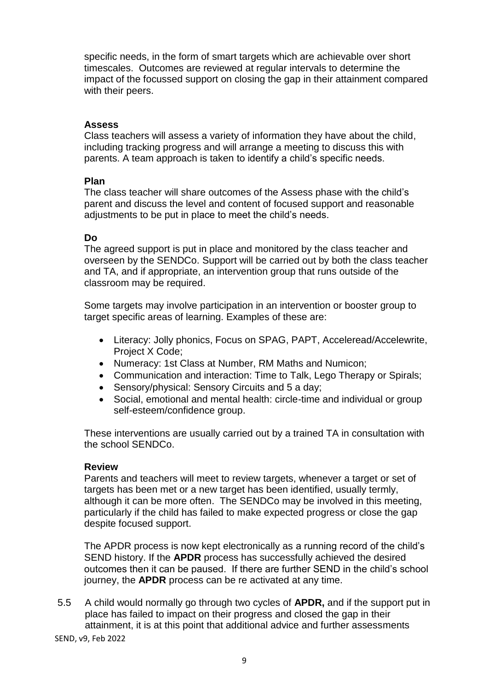specific needs, in the form of smart targets which are achievable over short timescales. Outcomes are reviewed at regular intervals to determine the impact of the focussed support on closing the gap in their attainment compared with their peers.

#### **Assess**

Class teachers will assess a variety of information they have about the child, including tracking progress and will arrange a meeting to discuss this with parents. A team approach is taken to identify a child's specific needs.

#### **Plan**

The class teacher will share outcomes of the Assess phase with the child's parent and discuss the level and content of focused support and reasonable adjustments to be put in place to meet the child's needs.

#### **Do**

The agreed support is put in place and monitored by the class teacher and overseen by the SENDCo. Support will be carried out by both the class teacher and TA, and if appropriate, an intervention group that runs outside of the classroom may be required.

Some targets may involve participation in an intervention or booster group to target specific areas of learning. Examples of these are:

- Literacy: Jolly phonics, Focus on SPAG, PAPT, Acceleread/Accelewrite, Project X Code;
- Numeracy: 1st Class at Number, RM Maths and Numicon;
- Communication and interaction: Time to Talk, Lego Therapy or Spirals;
- Sensory/physical: Sensory Circuits and 5 a day;
- Social, emotional and mental health: circle-time and individual or group self-esteem/confidence group.

These interventions are usually carried out by a trained TA in consultation with the school SENDCo.

#### **Review**

Parents and teachers will meet to review targets, whenever a target or set of targets has been met or a new target has been identified, usually termly, although it can be more often. The SENDCo may be involved in this meeting, particularly if the child has failed to make expected progress or close the gap despite focused support.

The APDR process is now kept electronically as a running record of the child's SEND history. If the **APDR** process has successfully achieved the desired outcomes then it can be paused. If there are further SEND in the child's school journey, the **APDR** process can be re activated at any time.

5.5 A child would normally go through two cycles of **APDR,** and if the support put in place has failed to impact on their progress and closed the gap in their attainment, it is at this point that additional advice and further assessments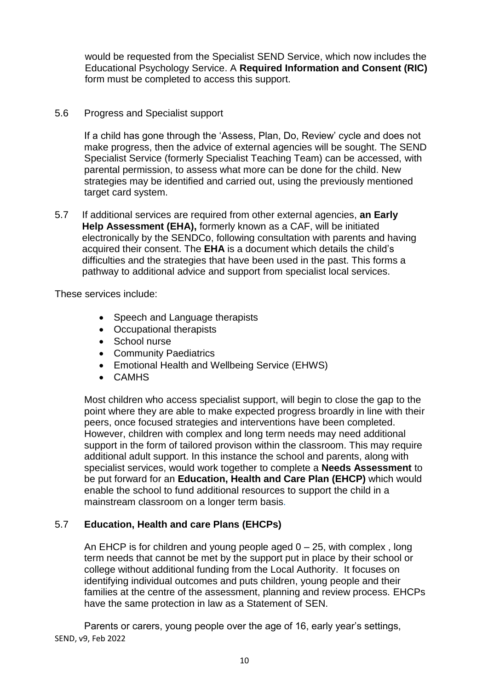would be requested from the Specialist SEND Service, which now includes the Educational Psychology Service. A **Required Information and Consent (RIC)** form must be completed to access this support.

# 5.6 Progress and Specialist support

If a child has gone through the 'Assess, Plan, Do, Review' cycle and does not make progress, then the advice of external agencies will be sought. The SEND Specialist Service (formerly Specialist Teaching Team) can be accessed, with parental permission, to assess what more can be done for the child. New strategies may be identified and carried out, using the previously mentioned target card system.

5.7 If additional services are required from other external agencies, **an Early Help Assessment (EHA),** formerly known as a CAF, will be initiated electronically by the SENDCo, following consultation with parents and having acquired their consent. The **EHA** is a document which details the child's difficulties and the strategies that have been used in the past. This forms a pathway to additional advice and support from specialist local services.

These services include:

- Speech and Language therapists
- Occupational therapists
- School nurse
- Community Paediatrics
- Emotional Health and Wellbeing Service (EHWS)
- CAMHS

Most children who access specialist support, will begin to close the gap to the point where they are able to make expected progress broardly in line with their peers, once focused strategies and interventions have been completed. However, children with complex and long term needs may need additional support in the form of tailored provison within the classroom. This may require additional adult support. In this instance the school and parents, along with specialist services, would work together to complete a **Needs Assessment** to be put forward for an **Education, Health and Care Plan (EHCP)** which would enable the school to fund additional resources to support the child in a mainstream classroom on a longer term basis.

# 5.7 **Education, Health and care Plans (EHCPs)**

An EHCP is for children and young people aged  $0 - 25$ , with complex, long term needs that cannot be met by the support put in place by their school or college without additional funding from the Local Authority. It focuses on identifying individual outcomes and puts children, young people and their families at the centre of the assessment, planning and review process. EHCPs have the same protection in law as a Statement of SEN.

SEND, v9, Feb 2022 Parents or carers, young people over the age of 16, early year's settings,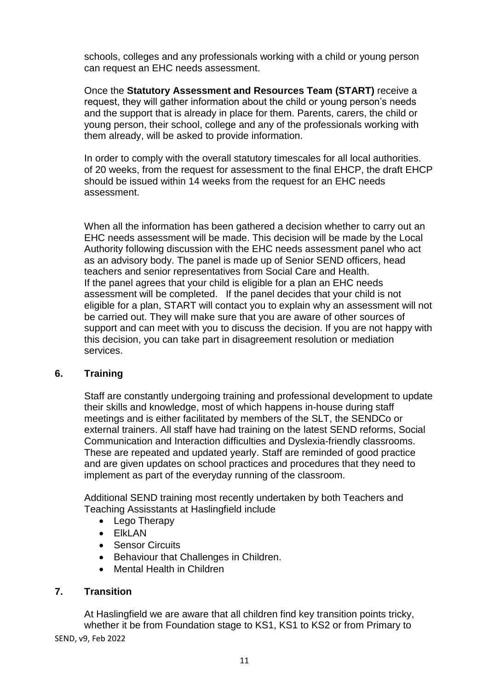schools, colleges and any professionals working with a child or young person can request an EHC needs assessment.

Once the **Statutory Assessment and Resources Team (START)** receive a request, they will gather information about the child or young person's needs and the support that is already in place for them. Parents, carers, the child or young person, their school, college and any of the professionals working with them already, will be asked to provide information.

In order to comply with the overall statutory timescales for all local authorities. of 20 weeks, from the request for assessment to the final EHCP, the draft EHCP should be issued within 14 weeks from the request for an EHC needs assessment.

When all the information has been gathered a decision whether to carry out an EHC needs assessment will be made. This decision will be made by the Local Authority following discussion with the EHC needs assessment panel who act as an advisory body. The panel is made up of Senior SEND officers, head teachers and senior representatives from Social Care and Health. If the panel agrees that your child is eligible for a plan an EHC needs assessment will be completed. If the panel decides that your child is not eligible for a plan, START will contact you to explain why an assessment will not be carried out. They will make sure that you are aware of other sources of support and can meet with you to discuss the decision. If you are not happy with this decision, you can take part in disagreement resolution or mediation services.

# **6. Training**

Staff are constantly undergoing training and professional development to update their skills and knowledge, most of which happens in-house during staff meetings and is either facilitated by members of the SLT, the SENDCo or external trainers. All staff have had training on the latest SEND reforms, Social Communication and Interaction difficulties and Dyslexia-friendly classrooms. These are repeated and updated yearly. Staff are reminded of good practice and are given updates on school practices and procedures that they need to implement as part of the everyday running of the classroom.

Additional SEND training most recently undertaken by both Teachers and Teaching Assisstants at Haslingfield include

- Lego Therapy
- ElkLAN
- Sensor Circuits
- Behaviour that Challenges in Children.
- Mental Health in Children

# **7. Transition**

SEND, v9, Feb 2022 At Haslingfield we are aware that all children find key transition points tricky, whether it be from Foundation stage to KS1, KS1 to KS2 or from Primary to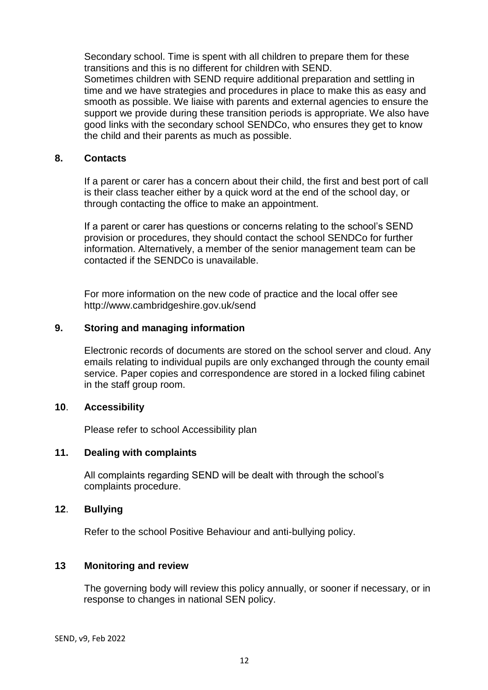Secondary school. Time is spent with all children to prepare them for these transitions and this is no different for children with SEND.

Sometimes children with SEND require additional preparation and settling in time and we have strategies and procedures in place to make this as easy and smooth as possible. We liaise with parents and external agencies to ensure the support we provide during these transition periods is appropriate. We also have good links with the secondary school SENDCo, who ensures they get to know the child and their parents as much as possible.

# **8. Contacts**

If a parent or carer has a concern about their child, the first and best port of call is their class teacher either by a quick word at the end of the school day, or through contacting the office to make an appointment.

If a parent or carer has questions or concerns relating to the school's SEND provision or procedures, they should contact the school SENDCo for further information. Alternatively, a member of the senior management team can be contacted if the SENDCo is unavailable.

For more information on the new code of practice and the local offer see http://www.cambridgeshire.gov.uk/send

#### **9. Storing and managing information**

Electronic records of documents are stored on the school server and cloud. Any emails relating to individual pupils are only exchanged through the county email service. Paper copies and correspondence are stored in a locked filing cabinet in the staff group room.

# **10**. **Accessibility**

Please refer to school Accessibility plan

# **11. Dealing with complaints**

All complaints regarding SEND will be dealt with through the school's complaints procedure.

# **12**. **Bullying**

Refer to the school Positive Behaviour and anti-bullying policy.

# **13 Monitoring and review**

The governing body will review this policy annually, or sooner if necessary, or in response to changes in national SEN policy.